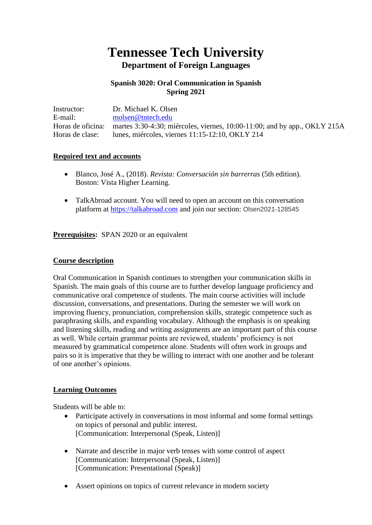# **Tennessee Tech University Department of Foreign Languages**

## **Spanish 3020: Oral Communication in Spanish Spring 2021**

| Instructor:       | Dr. Michael K. Olsen                                                         |
|-------------------|------------------------------------------------------------------------------|
| E-mail:           | molsen@tntech.edu                                                            |
| Horas de oficina: | martes 3:30-4:30; miércoles, viernes, $10:00-11:00$ ; and by app., OKLY 215A |
| Horas de clase:   | lunes, miércoles, viernes 11:15-12:10, OKLY 214                              |

#### **Required text and accounts**

- Blanco, José A., (2018). *Revista: Conversación sin barrerras* (5th edition). Boston: Vista Higher Learning.
- TalkAbroad account. You will need to open an account on this conversation platform at [https://talkabroad.com](https://talkabroad.com/) and join our section: Olsen2021-128545

**Prerequisites:** SPAN 2020 or an equivalent

#### **Course description**

Oral Communication in Spanish continues to strengthen your communication skills in Spanish. The main goals of this course are to further develop language proficiency and communicative oral competence of students. The main course activities will include discussion, conversations, and presentations. During the semester we will work on improving fluency, pronunciation, comprehension skills, strategic competence such as paraphrasing skills, and expanding vocabulary. Although the emphasis is on speaking and listening skills, reading and writing assignments are an important part of this course as well. While certain grammar points are reviewed, students' proficiency is not measured by grammatical competence alone. Students will often work in groups and pairs so it is imperative that they be willing to interact with one another and be tolerant of one another's opinions.

## **Learning Outcomes**

Students will be able to:

- Participate actively in conversations in most informal and some formal settings on topics of personal and public interest. [Communication: Interpersonal (Speak, Listen)]
- Narrate and describe in major verb tenses with some control of aspect [Communication: Interpersonal (Speak, Listen)] [Communication: Presentational (Speak)]
- Assert opinions on topics of current relevance in modern society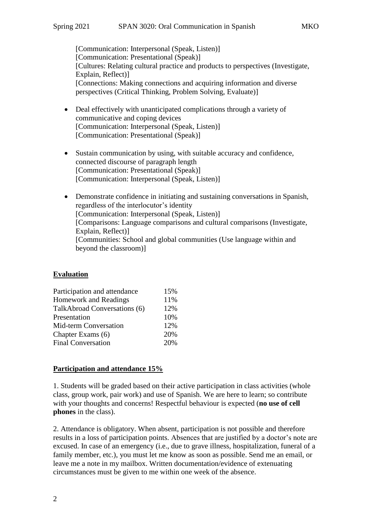[Communication: Interpersonal (Speak, Listen)] [Communication: Presentational (Speak)] [Cultures: Relating cultural practice and products to perspectives (Investigate, Explain, Reflect)] [Connections: Making connections and acquiring information and diverse perspectives (Critical Thinking, Problem Solving, Evaluate)]

- Deal effectively with unanticipated complications through a variety of communicative and coping devices [Communication: Interpersonal (Speak, Listen)] [Communication: Presentational (Speak)]
- Sustain communication by using, with suitable accuracy and confidence, connected discourse of paragraph length [Communication: Presentational (Speak)] [Communication: Interpersonal (Speak, Listen)]
- Demonstrate confidence in initiating and sustaining conversations in Spanish, regardless of the interlocutor's identity [Communication: Interpersonal (Speak, Listen)] [Comparisons: Language comparisons and cultural comparisons (Investigate, Explain, Reflect)] [Communities: School and global communities (Use language within and beyond the classroom)]

## **Evaluation**

| Participation and attendance | 15% |
|------------------------------|-----|
| <b>Homework and Readings</b> | 11% |
| TalkAbroad Conversations (6) | 12% |
| Presentation                 | 10% |
| Mid-term Conversation        | 12% |
| Chapter Exams (6)            | 20% |
| <b>Final Conversation</b>    | 20% |

## **Participation and attendance 15%**

1. Students will be graded based on their active participation in class activities (whole class, group work, pair work) and use of Spanish. We are here to learn; so contribute with your thoughts and concerns! Respectful behaviour is expected (**no use of cell phones** in the class).

2. Attendance is obligatory. When absent, participation is not possible and therefore results in a loss of participation points. Absences that are justified by a doctor's note are excused. In case of an emergency (i.e., due to grave illness, hospitalization, funeral of a family member, etc.), you must let me know as soon as possible. Send me an email, or leave me a note in my mailbox. Written documentation/evidence of extenuating circumstances must be given to me within one week of the absence.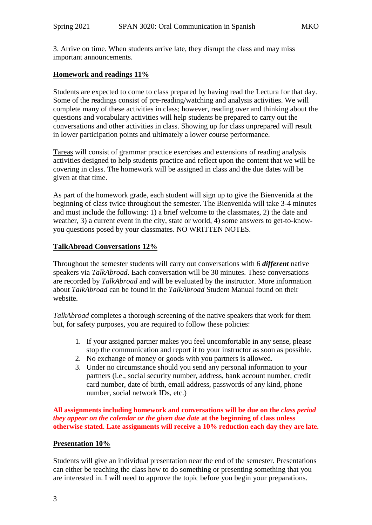3. Arrive on time. When students arrive late, they disrupt the class and may miss important announcements.

#### **Homework and readings 11%**

Students are expected to come to class prepared by having read the Lectura for that day. Some of the readings consist of pre-reading/watching and analysis activities. We will complete many of these activities in class; however, reading over and thinking about the questions and vocabulary activities will help students be prepared to carry out the conversations and other activities in class. Showing up for class unprepared will result in lower participation points and ultimately a lower course performance.

Tareas will consist of grammar practice exercises and extensions of reading analysis activities designed to help students practice and reflect upon the content that we will be covering in class. The homework will be assigned in class and the due dates will be given at that time.

As part of the homework grade, each student will sign up to give the Bienvenida at the beginning of class twice throughout the semester. The Bienvenida will take 3-4 minutes and must include the following: 1) a brief welcome to the classmates, 2) the date and weather, 3) a current event in the city, state or world, 4) some answers to get-to-knowyou questions posed by your classmates. NO WRITTEN NOTES.

#### **TalkAbroad Conversations 12%**

Throughout the semester students will carry out conversations with 6 *different* native speakers via *TalkAbroad*. Each conversation will be 30 minutes. These conversations are recorded by *TalkAbroad* and will be evaluated by the instructor. More information about *TalkAbroad* can be found in the *TalkAbroad* Student Manual found on their website.

*TalkAbroad* completes a thorough screening of the native speakers that work for them but, for safety purposes, you are required to follow these policies:

- 1. If your assigned partner makes you feel uncomfortable in any sense, please stop the communication and report it to your instructor as soon as possible.
- 2. No exchange of money or goods with you partners is allowed.
- 3. Under no circumstance should you send any personal information to your partners (i.e., social security number, address, bank account number, credit card number, date of birth, email address, passwords of any kind, phone number, social network IDs, etc.)

**All assignments including homework and conversations will be due on the** *class period they appear on the calendar or the given due date* **at the beginning of class unless otherwise stated. Late assignments will receive a 10% reduction each day they are late.**

#### **Presentation 10%**

Students will give an individual presentation near the end of the semester. Presentations can either be teaching the class how to do something or presenting something that you are interested in. I will need to approve the topic before you begin your preparations.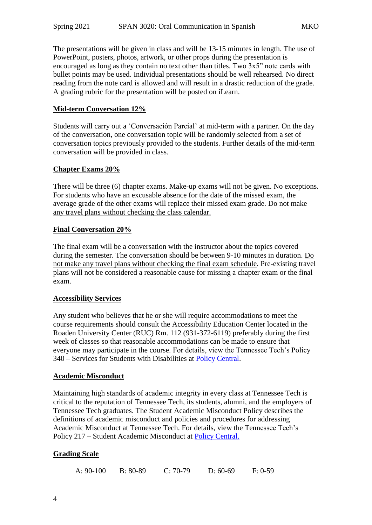The presentations will be given in class and will be 13-15 minutes in length. The use of PowerPoint, posters, photos, artwork, or other props during the presentation is encouraged as long as they contain no text other than titles. Two 3x5" note cards with bullet points may be used. Individual presentations should be well rehearsed. No direct reading from the note card is allowed and will result in a drastic reduction of the grade. A grading rubric for the presentation will be posted on iLearn.

## **Mid-term Conversation 12%**

Students will carry out a 'Conversación Parcial' at mid-term with a partner. On the day of the conversation, one conversation topic will be randomly selected from a set of conversation topics previously provided to the students. Further details of the mid-term conversation will be provided in class.

#### **Chapter Exams 20%**

There will be three (6) chapter exams. Make-up exams will not be given. No exceptions. For students who have an excusable absence for the date of the missed exam, the average grade of the other exams will replace their missed exam grade. Do not make any travel plans without checking the class calendar.

#### **Final Conversation 20%**

The final exam will be a conversation with the instructor about the topics covered during the semester. The conversation should be between 9-10 minutes in duration. Do not make any travel plans without checking the final exam schedule. Pre-existing travel plans will not be considered a reasonable cause for missing a chapter exam or the final exam.

#### **Accessibility Services**

Any student who believes that he or she will require accommodations to meet the course requirements should consult the Accessibility Education Center located in the Roaden University Center (RUC) Rm. 112 (931-372-6119) preferably during the first week of classes so that reasonable accommodations can be made to ensure that everyone may participate in the course. For details, view the Tennessee Tech's Policy 340 – Services for Students with Disabilities at [Policy Central.](https://www.tntech.edu/policies/)

#### **Academic Misconduct**

Maintaining high standards of academic integrity in every class at Tennessee Tech is critical to the reputation of Tennessee Tech, its students, alumni, and the employers of Tennessee Tech graduates. The Student Academic Misconduct Policy describes the definitions of academic misconduct and policies and procedures for addressing Academic Misconduct at Tennessee Tech. For details, view the Tennessee Tech's Policy 217 – Student Academic Misconduct at [Policy Central.](https://www.tntech.edu/policies/)

## **Grading Scale**

| A: 90-100 | $B: 80-89$ | $C: 70-79$ | $D: 60-69$ | $F: 0-59$ |
|-----------|------------|------------|------------|-----------|
|           |            |            |            |           |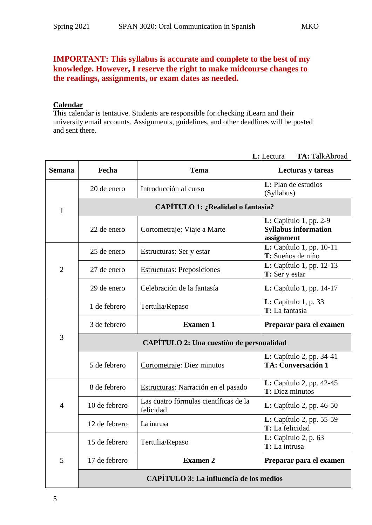## **IMPORTANT: This syllabus is accurate and complete to the best of my knowledge. However, I reserve the right to make midcourse changes to the readings, assignments, or exam dates as needed.**

## **Calendar**

This calendar is tentative. Students are responsible for checking iLearn and their university email accounts. Assignments, guidelines, and other deadlines will be posted and sent there.

| <b>Semana</b>  | Fecha                                    | <b>Tema</b>                                        | Lecturas y tareas                                                          |  |
|----------------|------------------------------------------|----------------------------------------------------|----------------------------------------------------------------------------|--|
| $\mathbf{1}$   | 20 de enero                              | Introducción al curso                              | L: Plan de estudios<br>(Syllabus)                                          |  |
|                | CAPÍTULO 1: ¿Realidad o fantasía?        |                                                    |                                                                            |  |
|                | 22 de enero                              | Cortometraje: Viaje a Marte                        | <b>L:</b> Capítulo 1, pp. 2-9<br><b>Syllabus information</b><br>assignment |  |
| $\overline{2}$ | 25 de enero                              | Estructuras: Ser y estar                           | L: Capítulo 1, pp. 10-11<br>T: Sueños de niño                              |  |
|                | 27 de enero                              | <b>Estructuras:</b> Preposiciones                  | L: Capítulo 1, pp. 12-13<br>T: Ser y estar                                 |  |
|                | 29 de enero                              | Celebración de la fantasía                         | <b>L:</b> Capítulo 1, pp. 14-17                                            |  |
| 3              | 1 de febrero                             | Tertulia/Repaso                                    | $L:$ Capítulo 1, p. 33<br>T: La fantasía                                   |  |
|                | 3 de febrero                             | <b>Examen 1</b>                                    | Preparar para el examen                                                    |  |
|                | CAPÍTULO 2: Una cuestión de personalidad |                                                    |                                                                            |  |
|                | 5 de febrero                             | Cortometraje: Diez minutos                         | L: Capítulo 2, pp. 34-41<br><b>TA: Conversación 1</b>                      |  |
| $\overline{4}$ | 8 de febrero                             | Estructuras: Narración en el pasado                | L: Capítulo 2, pp. 42-45<br>T: Diez minutos                                |  |
|                | 10 de febrero                            | Las cuatro fórmulas científicas de la<br>felicidad | $L:$ Capítulo 2, pp. 46-50                                                 |  |
|                | 12 de febrero                            | La intrusa                                         | L: Capítulo 2, pp. 55-59<br>T: La felicidad                                |  |
| 5              | 15 de febrero                            | Tertulia/Repaso                                    | L: Capitulo 2, p. 63<br>T: La intrusa                                      |  |
|                | 17 de febrero                            | <b>Examen 2</b>                                    | Preparar para el examen                                                    |  |
|                | CAPÍTULO 3: La influencia de los medios  |                                                    |                                                                            |  |

**L:** Lectura **TA:** TalkAbroad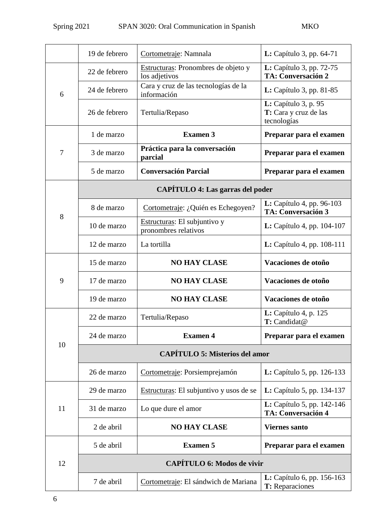|    | 19 de febrero                           | Cortometraje: Namnala                                | <b>L:</b> Capítulo 3, pp. 64-71                                     |  |
|----|-----------------------------------------|------------------------------------------------------|---------------------------------------------------------------------|--|
| 6  | 22 de febrero                           | Estructuras: Pronombres de objeto y<br>los adjetivos | <b>L:</b> Capítulo 3, pp. 72-75<br><b>TA: Conversación 2</b>        |  |
|    | 24 de febrero                           | Cara y cruz de las tecnologías de la<br>información  | <b>L:</b> Capítulo 3, pp. 81-85                                     |  |
|    | 26 de febrero                           | Tertulia/Repaso                                      | <b>L:</b> Capítulo 3, p. 95<br>T: Cara y cruz de las<br>tecnologías |  |
| 7  | 1 de marzo                              | <b>Examen 3</b>                                      | Preparar para el examen                                             |  |
|    | 3 de marzo                              | Práctica para la conversación<br>parcial             | Preparar para el examen                                             |  |
|    | 5 de marzo                              | <b>Conversación Parcial</b>                          | Preparar para el examen                                             |  |
|    | <b>CAPÍTULO 4: Las garras del poder</b> |                                                      |                                                                     |  |
| 8  | 8 de marzo                              | Cortometraje: ¿Quién es Echegoyen?                   | <b>L:</b> Capítulo 4, pp. 96-103<br><b>TA: Conversación 3</b>       |  |
|    | 10 de marzo                             | Estructuras: El subjuntivo y<br>pronombres relativos | <b>L:</b> Capítulo 4, pp. $104-107$                                 |  |
|    | 12 de marzo                             | La tortilla                                          | <b>L:</b> Capítulo 4, pp. 108-111                                   |  |
|    | 15 de marzo                             | <b>NO HAY CLASE</b>                                  | Vacaciones de otoño                                                 |  |
| 9  | 17 de marzo                             | <b>NO HAY CLASE</b>                                  | Vacaciones de otoño                                                 |  |
|    | 19 de marzo                             | <b>NO HAY CLASE</b>                                  | Vacaciones de otoño                                                 |  |
| 10 | 22 de marzo                             | Tertulia/Repaso                                      | <b>L:</b> Capítulo 4, p. 125<br>T: Candidat@                        |  |
|    | 24 de marzo                             | <b>Examen 4</b>                                      | Preparar para el examen                                             |  |
|    | <b>CAPÍTULO 5: Misterios del amor</b>   |                                                      |                                                                     |  |
|    | 26 de marzo                             | Cortometraje: Porsiemprejamón                        | <b>L:</b> Capítulo 5, pp. 126-133                                   |  |
| 11 | 29 de marzo                             | Estructuras: El subjuntivo y usos de se              | <b>L:</b> Capítulo 5, pp. 134-137                                   |  |
|    | 31 de marzo                             | Lo que dure el amor                                  | L: Capítulo 5, pp. 142-146<br><b>TA: Conversación 4</b>             |  |
|    | 2 de abril                              | <b>NO HAY CLASE</b>                                  | <b>Viernes santo</b>                                                |  |
|    | 5 de abril                              | <b>Examen 5</b>                                      | Preparar para el examen                                             |  |
| 12 | <b>CAPÍTULO 6: Modos de vivir</b>       |                                                      |                                                                     |  |
|    | 7 de abril                              | Cortometraje: El sándwich de Mariana                 | <b>L:</b> Capítulo 6, pp. 156-163<br>T: Reparaciones                |  |